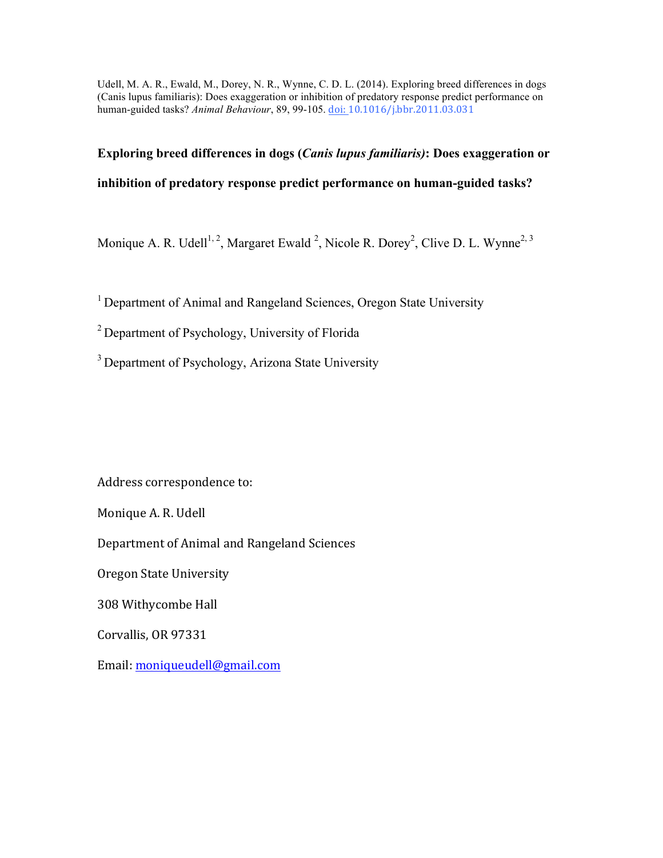Udell, M. A. R., Ewald, M., Dorey, N. R., Wynne, C. D. L. (2014). Exploring breed differences in dogs (Canis lupus familiaris): Does exaggeration or inhibition of predatory response predict performance on human-guided tasks? *Animal Behaviour*, 89, 99-105. doi: 10.1016/j.bbr.2011.03.031

# **Exploring breed differences in dogs (***Canis lupus familiaris)***: Does exaggeration or inhibition of predatory response predict performance on human-guided tasks?**

Monique A. R. Udell<sup>1, 2</sup>, Margaret Ewald <sup>2</sup>, Nicole R. Dorey<sup>2</sup>, Clive D. L. Wynne<sup>2, 3</sup>

<sup>1</sup> Department of Animal and Rangeland Sciences, Oregon State University

2 Department of Psychology, University of Florida

<sup>3</sup> Department of Psychology, Arizona State University

Address correspondence to:

Monique A. R. Udell

Department of Animal and Rangeland Sciences

Oregon State University

308 Withycombe Hall

Corvallis, OR 97331

Email: moniqueudell@gmail.com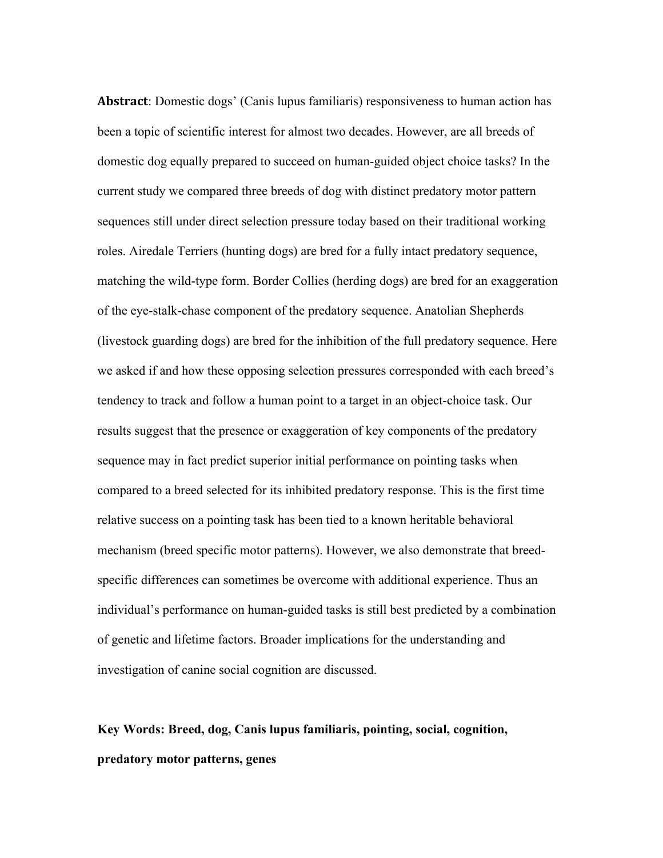**Abstract**: Domestic dogs' (Canis lupus familiaris) responsiveness to human action has been a topic of scientific interest for almost two decades. However, are all breeds of domestic dog equally prepared to succeed on human-guided object choice tasks? In the current study we compared three breeds of dog with distinct predatory motor pattern sequences still under direct selection pressure today based on their traditional working roles. Airedale Terriers (hunting dogs) are bred for a fully intact predatory sequence, matching the wild-type form. Border Collies (herding dogs) are bred for an exaggeration of the eye-stalk-chase component of the predatory sequence. Anatolian Shepherds (livestock guarding dogs) are bred for the inhibition of the full predatory sequence. Here we asked if and how these opposing selection pressures corresponded with each breed's tendency to track and follow a human point to a target in an object-choice task. Our results suggest that the presence or exaggeration of key components of the predatory sequence may in fact predict superior initial performance on pointing tasks when compared to a breed selected for its inhibited predatory response. This is the first time relative success on a pointing task has been tied to a known heritable behavioral mechanism (breed specific motor patterns). However, we also demonstrate that breedspecific differences can sometimes be overcome with additional experience. Thus an individual's performance on human-guided tasks is still best predicted by a combination of genetic and lifetime factors. Broader implications for the understanding and investigation of canine social cognition are discussed.

# **Key Words: Breed, dog, Canis lupus familiaris, pointing, social, cognition, predatory motor patterns, genes**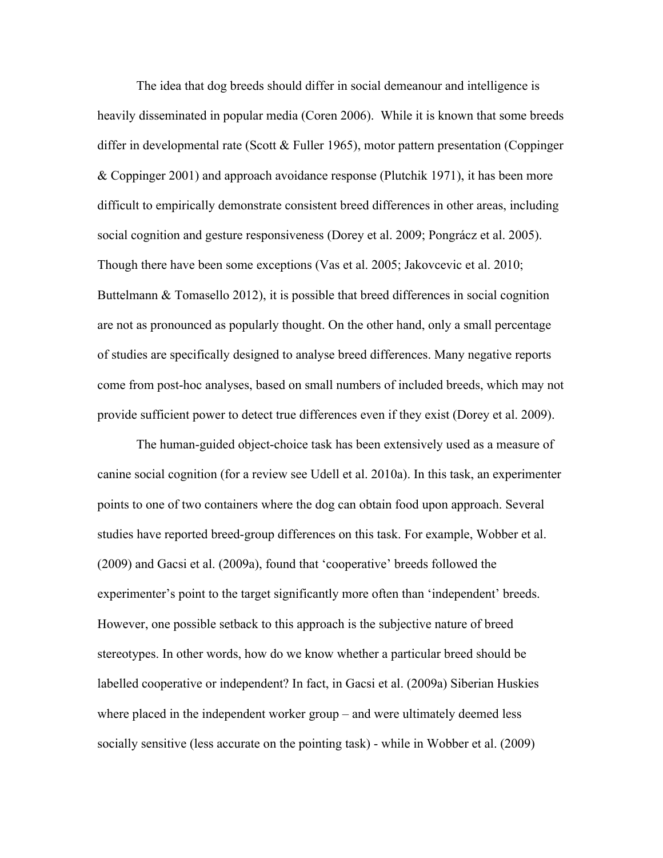The idea that dog breeds should differ in social demeanour and intelligence is heavily disseminated in popular media (Coren 2006). While it is known that some breeds differ in developmental rate (Scott & Fuller 1965), motor pattern presentation (Coppinger & Coppinger 2001) and approach avoidance response (Plutchik 1971), it has been more difficult to empirically demonstrate consistent breed differences in other areas, including social cognition and gesture responsiveness (Dorey et al. 2009; Pongrácz et al. 2005). Though there have been some exceptions (Vas et al. 2005; Jakovcevic et al. 2010; Buttelmann & Tomasello 2012), it is possible that breed differences in social cognition are not as pronounced as popularly thought. On the other hand, only a small percentage of studies are specifically designed to analyse breed differences. Many negative reports come from post-hoc analyses, based on small numbers of included breeds, which may not provide sufficient power to detect true differences even if they exist (Dorey et al. 2009).

The human-guided object-choice task has been extensively used as a measure of canine social cognition (for a review see Udell et al. 2010a). In this task, an experimenter points to one of two containers where the dog can obtain food upon approach. Several studies have reported breed-group differences on this task. For example, Wobber et al. (2009) and Gacsi et al. (2009a), found that 'cooperative' breeds followed the experimenter's point to the target significantly more often than 'independent' breeds. However, one possible setback to this approach is the subjective nature of breed stereotypes. In other words, how do we know whether a particular breed should be labelled cooperative or independent? In fact, in Gacsi et al. (2009a) Siberian Huskies where placed in the independent worker group – and were ultimately deemed less socially sensitive (less accurate on the pointing task) - while in Wobber et al. (2009)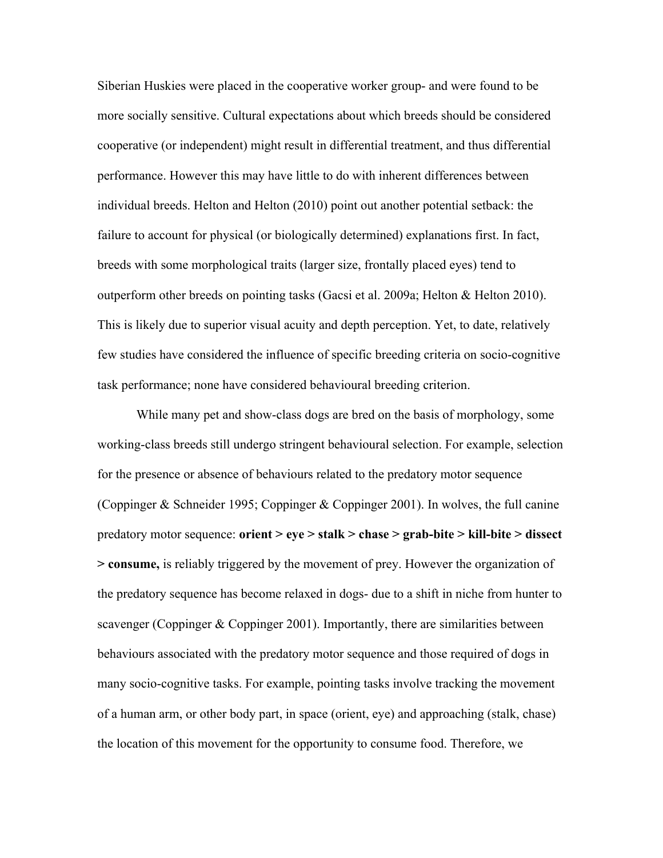Siberian Huskies were placed in the cooperative worker group- and were found to be more socially sensitive. Cultural expectations about which breeds should be considered cooperative (or independent) might result in differential treatment, and thus differential performance. However this may have little to do with inherent differences between individual breeds. Helton and Helton (2010) point out another potential setback: the failure to account for physical (or biologically determined) explanations first. In fact, breeds with some morphological traits (larger size, frontally placed eyes) tend to outperform other breeds on pointing tasks (Gacsi et al. 2009a; Helton & Helton 2010). This is likely due to superior visual acuity and depth perception. Yet, to date, relatively few studies have considered the influence of specific breeding criteria on socio-cognitive task performance; none have considered behavioural breeding criterion.

While many pet and show-class dogs are bred on the basis of morphology, some working-class breeds still undergo stringent behavioural selection. For example, selection for the presence or absence of behaviours related to the predatory motor sequence (Coppinger & Schneider 1995; Coppinger & Coppinger 2001). In wolves, the full canine predatory motor sequence: **orient > eye > stalk > chase > grab-bite > kill-bite > dissect > consume,** is reliably triggered by the movement of prey. However the organization of the predatory sequence has become relaxed in dogs- due to a shift in niche from hunter to scavenger (Coppinger & Coppinger 2001). Importantly, there are similarities between behaviours associated with the predatory motor sequence and those required of dogs in many socio-cognitive tasks. For example, pointing tasks involve tracking the movement of a human arm, or other body part, in space (orient, eye) and approaching (stalk, chase) the location of this movement for the opportunity to consume food. Therefore, we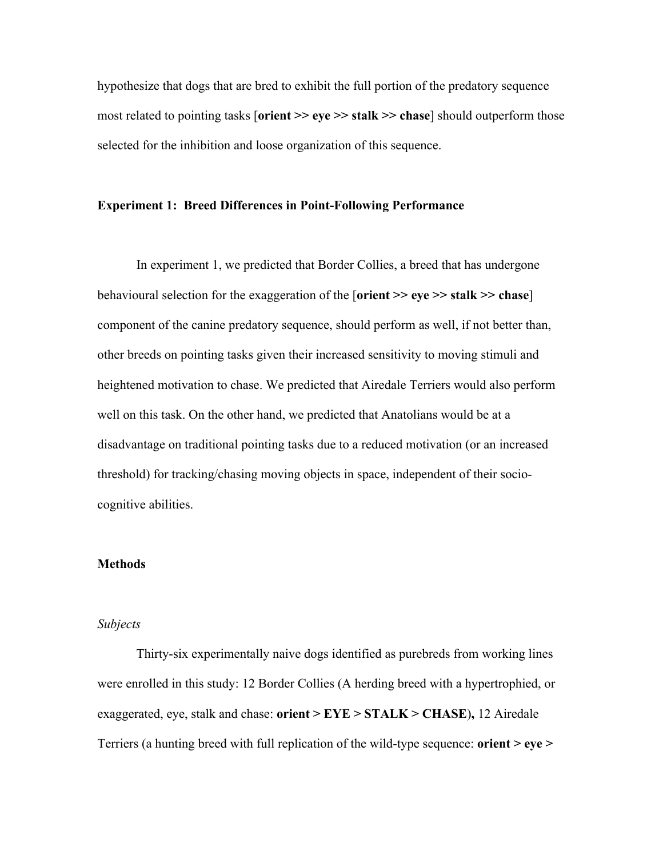hypothesize that dogs that are bred to exhibit the full portion of the predatory sequence most related to pointing tasks [**orient >> eye >> stalk >> chase**] should outperform those selected for the inhibition and loose organization of this sequence.

## **Experiment 1: Breed Differences in Point-Following Performance**

In experiment 1, we predicted that Border Collies, a breed that has undergone behavioural selection for the exaggeration of the [**orient >> eye >> stalk >> chase**] component of the canine predatory sequence, should perform as well, if not better than, other breeds on pointing tasks given their increased sensitivity to moving stimuli and heightened motivation to chase. We predicted that Airedale Terriers would also perform well on this task. On the other hand, we predicted that Anatolians would be at a disadvantage on traditional pointing tasks due to a reduced motivation (or an increased threshold) for tracking/chasing moving objects in space, independent of their sociocognitive abilities.

## **Methods**

#### *Subjects*

Thirty-six experimentally naive dogs identified as purebreds from working lines were enrolled in this study: 12 Border Collies (A herding breed with a hypertrophied, or exaggerated, eye, stalk and chase: **orient > EYE > STALK > CHASE**)**,** 12 Airedale Terriers (a hunting breed with full replication of the wild-type sequence: **orient > eye >**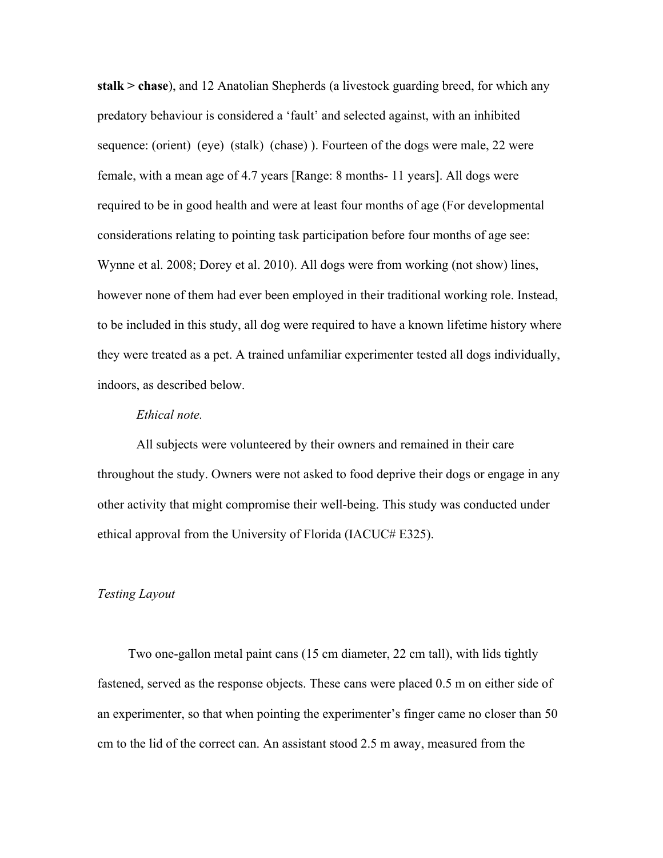**stalk > chase**), and 12 Anatolian Shepherds (a livestock guarding breed, for which any predatory behaviour is considered a 'fault' and selected against, with an inhibited sequence: (orient) (eye) (stalk) (chase) ). Fourteen of the dogs were male, 22 were female, with a mean age of 4.7 years [Range: 8 months- 11 years]. All dogs were required to be in good health and were at least four months of age (For developmental considerations relating to pointing task participation before four months of age see: Wynne et al. 2008; Dorey et al. 2010). All dogs were from working (not show) lines, however none of them had ever been employed in their traditional working role. Instead, to be included in this study, all dog were required to have a known lifetime history where they were treated as a pet. A trained unfamiliar experimenter tested all dogs individually, indoors, as described below.

## *Ethical note.*

All subjects were volunteered by their owners and remained in their care throughout the study. Owners were not asked to food deprive their dogs or engage in any other activity that might compromise their well-being. This study was conducted under ethical approval from the University of Florida (IACUC# E325).

## *Testing Layout*

Two one-gallon metal paint cans (15 cm diameter, 22 cm tall), with lids tightly fastened, served as the response objects. These cans were placed 0.5 m on either side of an experimenter, so that when pointing the experimenter's finger came no closer than 50 cm to the lid of the correct can. An assistant stood 2.5 m away, measured from the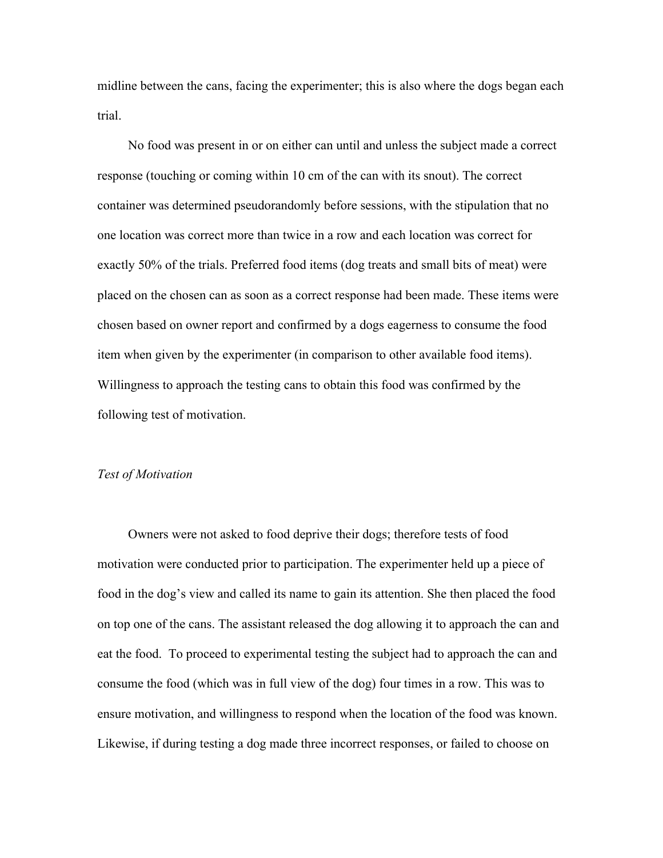midline between the cans, facing the experimenter; this is also where the dogs began each trial.

No food was present in or on either can until and unless the subject made a correct response (touching or coming within 10 cm of the can with its snout). The correct container was determined pseudorandomly before sessions, with the stipulation that no one location was correct more than twice in a row and each location was correct for exactly 50% of the trials. Preferred food items (dog treats and small bits of meat) were placed on the chosen can as soon as a correct response had been made. These items were chosen based on owner report and confirmed by a dogs eagerness to consume the food item when given by the experimenter (in comparison to other available food items). Willingness to approach the testing cans to obtain this food was confirmed by the following test of motivation.

#### *Test of Motivation*

Owners were not asked to food deprive their dogs; therefore tests of food motivation were conducted prior to participation. The experimenter held up a piece of food in the dog's view and called its name to gain its attention. She then placed the food on top one of the cans. The assistant released the dog allowing it to approach the can and eat the food. To proceed to experimental testing the subject had to approach the can and consume the food (which was in full view of the dog) four times in a row. This was to ensure motivation, and willingness to respond when the location of the food was known. Likewise, if during testing a dog made three incorrect responses, or failed to choose on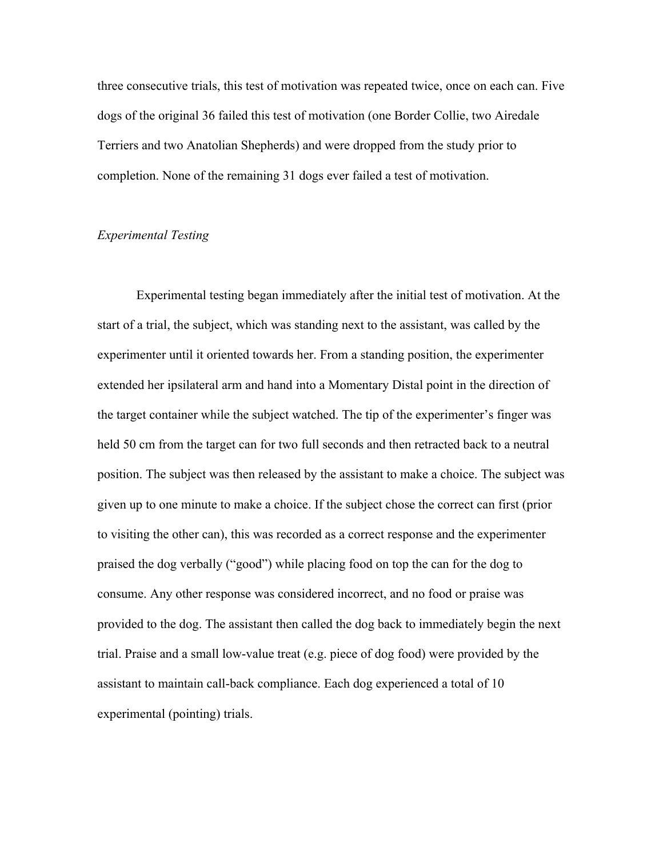three consecutive trials, this test of motivation was repeated twice, once on each can. Five dogs of the original 36 failed this test of motivation (one Border Collie, two Airedale Terriers and two Anatolian Shepherds) and were dropped from the study prior to completion. None of the remaining 31 dogs ever failed a test of motivation.

## *Experimental Testing*

Experimental testing began immediately after the initial test of motivation. At the start of a trial, the subject, which was standing next to the assistant, was called by the experimenter until it oriented towards her. From a standing position, the experimenter extended her ipsilateral arm and hand into a Momentary Distal point in the direction of the target container while the subject watched. The tip of the experimenter's finger was held 50 cm from the target can for two full seconds and then retracted back to a neutral position. The subject was then released by the assistant to make a choice. The subject was given up to one minute to make a choice. If the subject chose the correct can first (prior to visiting the other can), this was recorded as a correct response and the experimenter praised the dog verbally ("good") while placing food on top the can for the dog to consume. Any other response was considered incorrect, and no food or praise was provided to the dog. The assistant then called the dog back to immediately begin the next trial. Praise and a small low-value treat (e.g. piece of dog food) were provided by the assistant to maintain call-back compliance. Each dog experienced a total of 10 experimental (pointing) trials.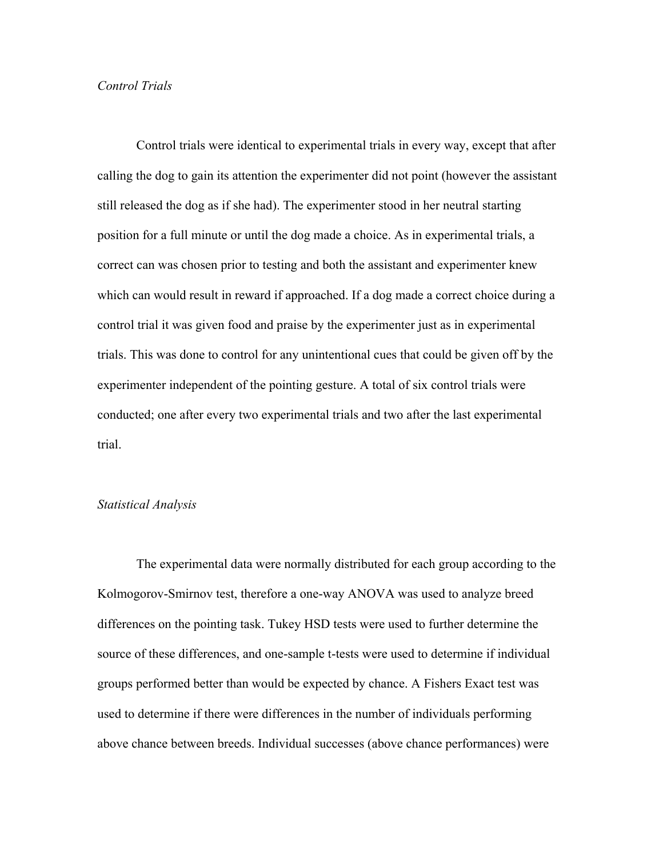## *Control Trials*

Control trials were identical to experimental trials in every way, except that after calling the dog to gain its attention the experimenter did not point (however the assistant still released the dog as if she had). The experimenter stood in her neutral starting position for a full minute or until the dog made a choice. As in experimental trials, a correct can was chosen prior to testing and both the assistant and experimenter knew which can would result in reward if approached. If a dog made a correct choice during a control trial it was given food and praise by the experimenter just as in experimental trials. This was done to control for any unintentional cues that could be given off by the experimenter independent of the pointing gesture. A total of six control trials were conducted; one after every two experimental trials and two after the last experimental trial.

#### *Statistical Analysis*

The experimental data were normally distributed for each group according to the Kolmogorov-Smirnov test, therefore a one-way ANOVA was used to analyze breed differences on the pointing task. Tukey HSD tests were used to further determine the source of these differences, and one-sample t-tests were used to determine if individual groups performed better than would be expected by chance. A Fishers Exact test was used to determine if there were differences in the number of individuals performing above chance between breeds. Individual successes (above chance performances) were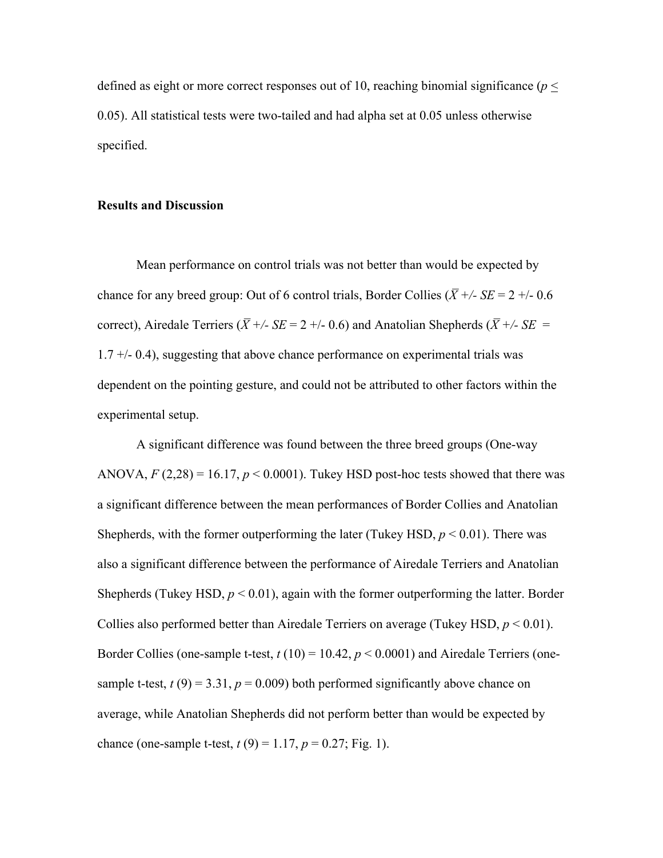defined as eight or more correct responses out of 10, reaching binomial significance (*p* < 0.05). All statistical tests were two-tailed and had alpha set at 0.05 unless otherwise specified.

#### **Results and Discussion**

Mean performance on control trials was not better than would be expected by chance for any breed group: Out of 6 control trials, Border Collies ( $\overline{X}$  +/-  $SE$  = 2 +/- 0.6 correct), Airedale Terriers ( $\overline{X}$  +/-  $\overline{S}E$  = 2 +/- 0.6) and Anatolian Shepherds ( $\overline{X}$  +/-  $\overline{S}E$  = 1.7 +/- 0.4), suggesting that above chance performance on experimental trials was dependent on the pointing gesture, and could not be attributed to other factors within the experimental setup.

A significant difference was found between the three breed groups (One-way ANOVA,  $F(2,28) = 16.17$ ,  $p < 0.0001$ ). Tukey HSD post-hoc tests showed that there was a significant difference between the mean performances of Border Collies and Anatolian Shepherds, with the former outperforming the later (Tukey HSD,  $p < 0.01$ ). There was also a significant difference between the performance of Airedale Terriers and Anatolian Shepherds (Tukey HSD,  $p < 0.01$ ), again with the former outperforming the latter. Border Collies also performed better than Airedale Terriers on average (Tukey HSD,  $p < 0.01$ ). Border Collies (one-sample t-test,  $t(10) = 10.42$ ,  $p < 0.0001$ ) and Airedale Terriers (onesample t-test,  $t(9) = 3.31$ ,  $p = 0.009$ ) both performed significantly above chance on average, while Anatolian Shepherds did not perform better than would be expected by chance (one-sample t-test,  $t(9) = 1.17$ ,  $p = 0.27$ ; Fig. 1).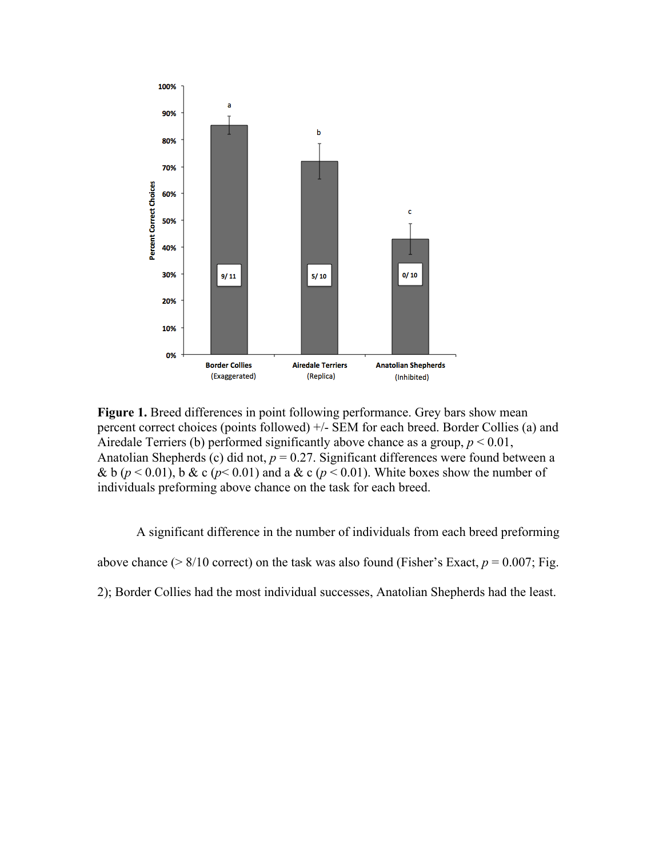

Figure 1. Breed differences in point following performance. Grey bars show mean percent correct choices (points followed) +/- SEM for each breed. Border Collies (a) and Airedale Terriers (b) performed significantly above chance as a group,  $p \le 0.01$ , Anatolian Shepherds (c) did not,  $p = 0.27$ . Significant differences were found between a & b ( $p < 0.01$ ), b & c ( $p < 0.01$ ) and a & c ( $p < 0.01$ ). White boxes show the number of individuals preforming above chance on the task for each breed.

A significant difference in the number of individuals from each breed preforming above chance ( $> 8/10$  correct) on the task was also found (Fisher's Exact,  $p = 0.007$ ; Fig. 2); Border Collies had the most individual successes, Anatolian Shepherds had the least.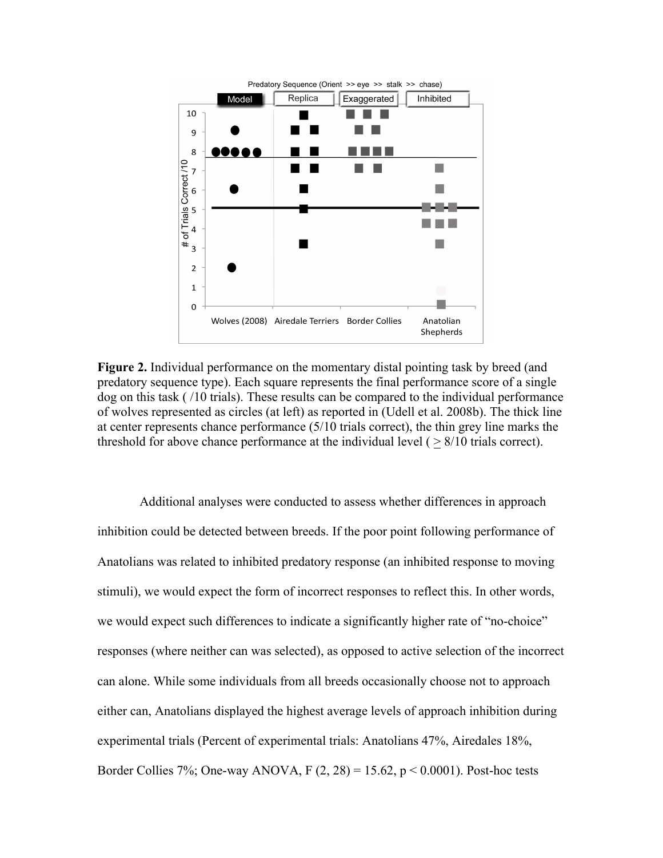

Figure 2. Individual performance on the momentary distal pointing task by breed (and predatory sequence type). Each square represents the final performance score of a single dog on this task ( /10 trials). These results can be compared to the individual performance of wolves represented as circles (at left) as reported in (Udell et al. 2008b). The thick line at center represents chance performance (5/10 trials correct), the thin grey line marks the threshold for above chance performance at the individual level  $($  >  $8/10$  trials correct).

Additional analyses were conducted to assess whether differences in approach inhibition could be detected between breeds. If the poor point following performance of Anatolians was related to inhibited predatory response (an inhibited response to moving stimuli), we would expect the form of incorrect responses to reflect this. In other words, we would expect such differences to indicate a significantly higher rate of "no-choice" responses (where neither can was selected), as opposed to active selection of the incorrect can alone. While some individuals from all breeds occasionally choose not to approach either can, Anatolians displayed the highest average levels of approach inhibition during experimental trials (Percent of experimental trials: Anatolians 47%, Airedales 18%, Border Collies 7%; One-way ANOVA,  $F(2, 28) = 15.62$ ,  $p < 0.0001$ ). Post-hoc tests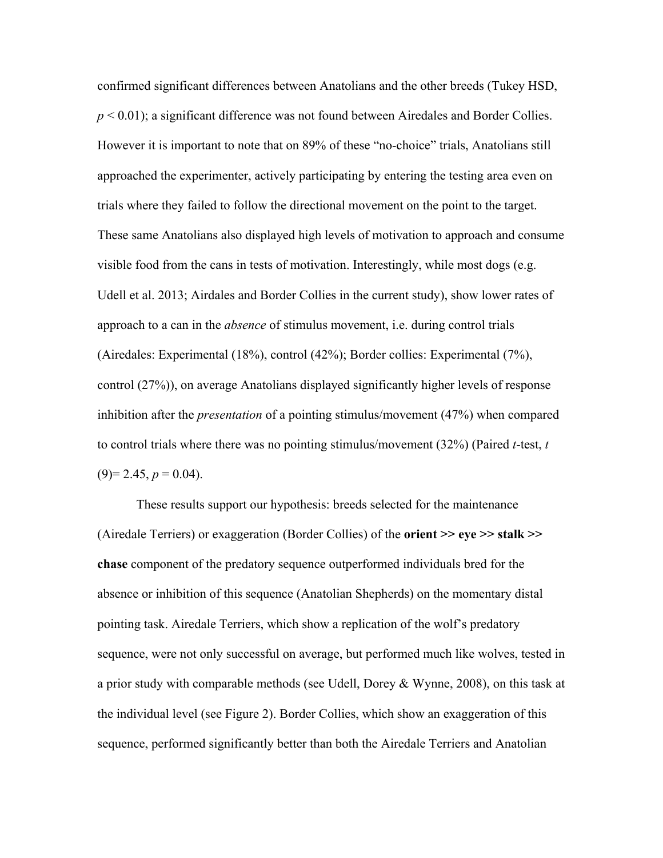confirmed significant differences between Anatolians and the other breeds (Tukey HSD, *p* < 0.01); a significant difference was not found between Airedales and Border Collies. However it is important to note that on 89% of these "no-choice" trials, Anatolians still approached the experimenter, actively participating by entering the testing area even on trials where they failed to follow the directional movement on the point to the target. These same Anatolians also displayed high levels of motivation to approach and consume visible food from the cans in tests of motivation. Interestingly, while most dogs (e.g. Udell et al. 2013; Airdales and Border Collies in the current study), show lower rates of approach to a can in the *absence* of stimulus movement, i.e. during control trials (Airedales: Experimental (18%), control (42%); Border collies: Experimental (7%), control (27%)), on average Anatolians displayed significantly higher levels of response inhibition after the *presentation* of a pointing stimulus/movement (47%) when compared to control trials where there was no pointing stimulus/movement (32%) (Paired *t*-test, *t*   $(9)=2.45, p=0.04$ .

These results support our hypothesis: breeds selected for the maintenance (Airedale Terriers) or exaggeration (Border Collies) of the **orient >> eye >> stalk >> chase** component of the predatory sequence outperformed individuals bred for the absence or inhibition of this sequence (Anatolian Shepherds) on the momentary distal pointing task. Airedale Terriers, which show a replication of the wolf's predatory sequence, were not only successful on average, but performed much like wolves, tested in a prior study with comparable methods (see Udell, Dorey & Wynne, 2008), on this task at the individual level (see Figure 2). Border Collies, which show an exaggeration of this sequence, performed significantly better than both the Airedale Terriers and Anatolian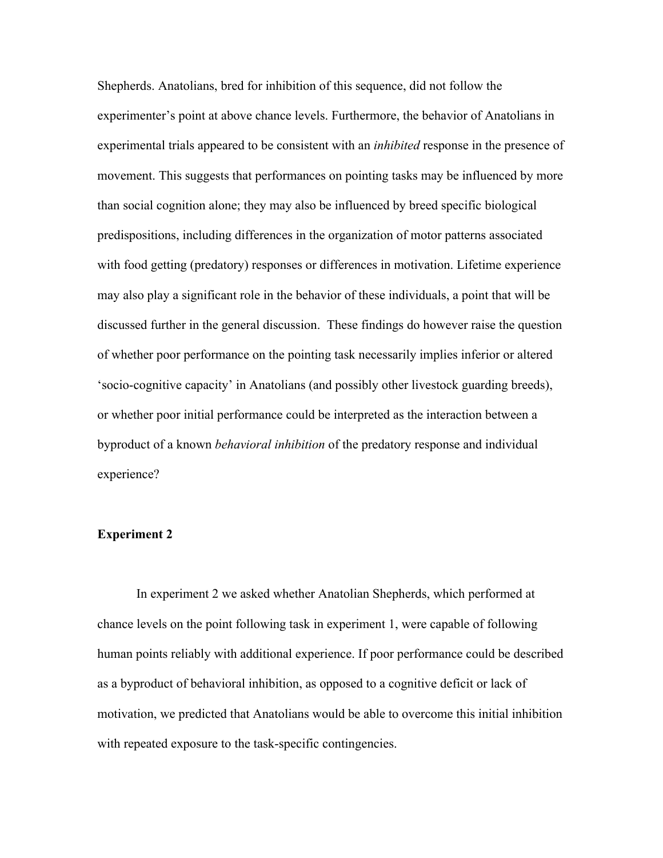Shepherds. Anatolians, bred for inhibition of this sequence, did not follow the experimenter's point at above chance levels. Furthermore, the behavior of Anatolians in experimental trials appeared to be consistent with an *inhibited* response in the presence of movement. This suggests that performances on pointing tasks may be influenced by more than social cognition alone; they may also be influenced by breed specific biological predispositions, including differences in the organization of motor patterns associated with food getting (predatory) responses or differences in motivation. Lifetime experience may also play a significant role in the behavior of these individuals, a point that will be discussed further in the general discussion. These findings do however raise the question of whether poor performance on the pointing task necessarily implies inferior or altered 'socio-cognitive capacity' in Anatolians (and possibly other livestock guarding breeds), or whether poor initial performance could be interpreted as the interaction between a byproduct of a known *behavioral inhibition* of the predatory response and individual experience?

## **Experiment 2**

In experiment 2 we asked whether Anatolian Shepherds, which performed at chance levels on the point following task in experiment 1, were capable of following human points reliably with additional experience. If poor performance could be described as a byproduct of behavioral inhibition, as opposed to a cognitive deficit or lack of motivation, we predicted that Anatolians would be able to overcome this initial inhibition with repeated exposure to the task-specific contingencies.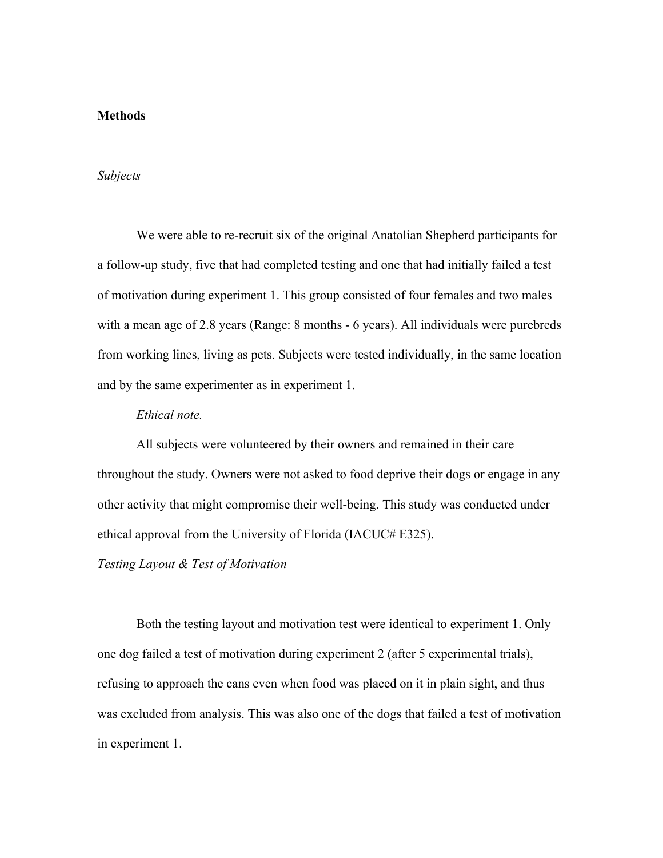## **Methods**

## *Subjects*

We were able to re-recruit six of the original Anatolian Shepherd participants for a follow-up study, five that had completed testing and one that had initially failed a test of motivation during experiment 1. This group consisted of four females and two males with a mean age of 2.8 years (Range: 8 months - 6 years). All individuals were purebreds from working lines, living as pets. Subjects were tested individually, in the same location and by the same experimenter as in experiment 1.

#### *Ethical note.*

All subjects were volunteered by their owners and remained in their care throughout the study. Owners were not asked to food deprive their dogs or engage in any other activity that might compromise their well-being. This study was conducted under ethical approval from the University of Florida (IACUC# E325).

## *Testing Layout & Test of Motivation*

Both the testing layout and motivation test were identical to experiment 1. Only one dog failed a test of motivation during experiment 2 (after 5 experimental trials), refusing to approach the cans even when food was placed on it in plain sight, and thus was excluded from analysis. This was also one of the dogs that failed a test of motivation in experiment 1.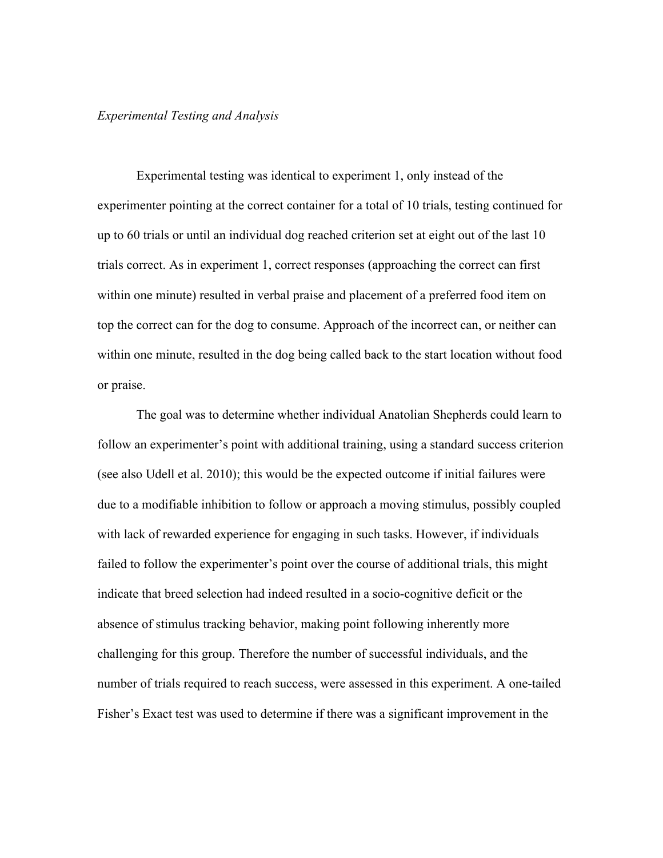## *Experimental Testing and Analysis*

Experimental testing was identical to experiment 1, only instead of the experimenter pointing at the correct container for a total of 10 trials, testing continued for up to 60 trials or until an individual dog reached criterion set at eight out of the last 10 trials correct. As in experiment 1, correct responses (approaching the correct can first within one minute) resulted in verbal praise and placement of a preferred food item on top the correct can for the dog to consume. Approach of the incorrect can, or neither can within one minute, resulted in the dog being called back to the start location without food or praise.

The goal was to determine whether individual Anatolian Shepherds could learn to follow an experimenter's point with additional training, using a standard success criterion (see also Udell et al. 2010); this would be the expected outcome if initial failures were due to a modifiable inhibition to follow or approach a moving stimulus, possibly coupled with lack of rewarded experience for engaging in such tasks. However, if individuals failed to follow the experimenter's point over the course of additional trials, this might indicate that breed selection had indeed resulted in a socio-cognitive deficit or the absence of stimulus tracking behavior, making point following inherently more challenging for this group. Therefore the number of successful individuals, and the number of trials required to reach success, were assessed in this experiment. A one-tailed Fisher's Exact test was used to determine if there was a significant improvement in the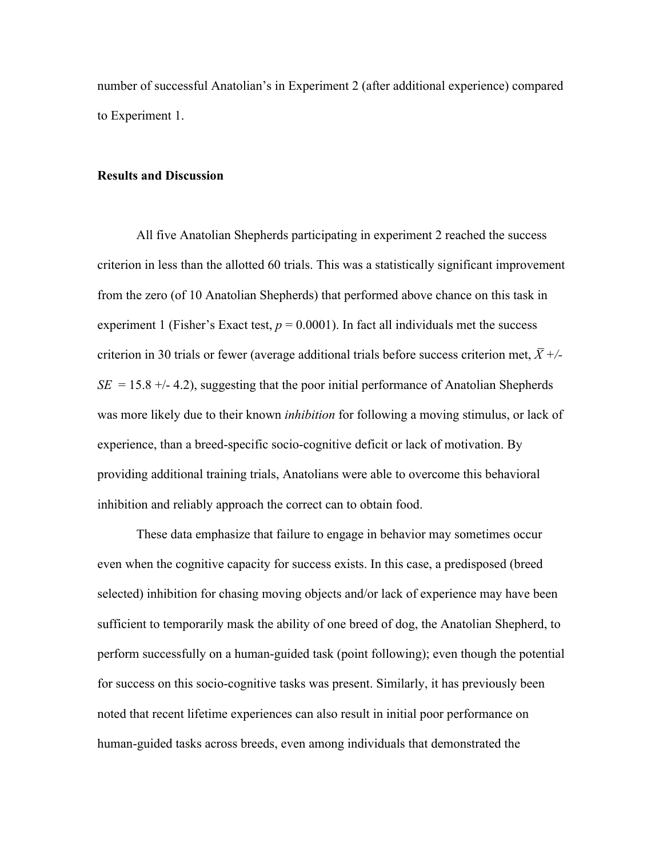number of successful Anatolian's in Experiment 2 (after additional experience) compared to Experiment 1.

## **Results and Discussion**

All five Anatolian Shepherds participating in experiment 2 reached the success criterion in less than the allotted 60 trials. This was a statistically significant improvement from the zero (of 10 Anatolian Shepherds) that performed above chance on this task in experiment 1 (Fisher's Exact test,  $p = 0.0001$ ). In fact all individuals met the success criterion in 30 trials or fewer (average additional trials before success criterion met,  $\overline{X}$  +/- $SE = 15.8 + (-4.2)$ , suggesting that the poor initial performance of Anatolian Shepherds was more likely due to their known *inhibition* for following a moving stimulus, or lack of experience, than a breed-specific socio-cognitive deficit or lack of motivation. By providing additional training trials, Anatolians were able to overcome this behavioral inhibition and reliably approach the correct can to obtain food.

These data emphasize that failure to engage in behavior may sometimes occur even when the cognitive capacity for success exists. In this case, a predisposed (breed selected) inhibition for chasing moving objects and/or lack of experience may have been sufficient to temporarily mask the ability of one breed of dog, the Anatolian Shepherd, to perform successfully on a human-guided task (point following); even though the potential for success on this socio-cognitive tasks was present. Similarly, it has previously been noted that recent lifetime experiences can also result in initial poor performance on human-guided tasks across breeds, even among individuals that demonstrated the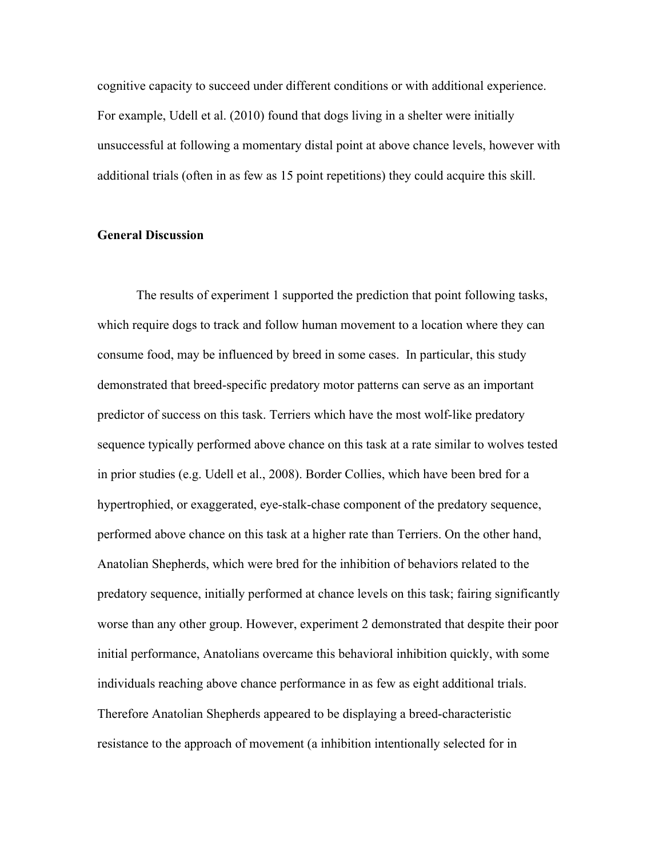cognitive capacity to succeed under different conditions or with additional experience. For example, Udell et al. (2010) found that dogs living in a shelter were initially unsuccessful at following a momentary distal point at above chance levels, however with additional trials (often in as few as 15 point repetitions) they could acquire this skill.

## **General Discussion**

The results of experiment 1 supported the prediction that point following tasks, which require dogs to track and follow human movement to a location where they can consume food, may be influenced by breed in some cases. In particular, this study demonstrated that breed-specific predatory motor patterns can serve as an important predictor of success on this task. Terriers which have the most wolf-like predatory sequence typically performed above chance on this task at a rate similar to wolves tested in prior studies (e.g. Udell et al., 2008). Border Collies, which have been bred for a hypertrophied, or exaggerated, eye-stalk-chase component of the predatory sequence, performed above chance on this task at a higher rate than Terriers. On the other hand, Anatolian Shepherds, which were bred for the inhibition of behaviors related to the predatory sequence, initially performed at chance levels on this task; fairing significantly worse than any other group. However, experiment 2 demonstrated that despite their poor initial performance, Anatolians overcame this behavioral inhibition quickly, with some individuals reaching above chance performance in as few as eight additional trials. Therefore Anatolian Shepherds appeared to be displaying a breed-characteristic resistance to the approach of movement (a inhibition intentionally selected for in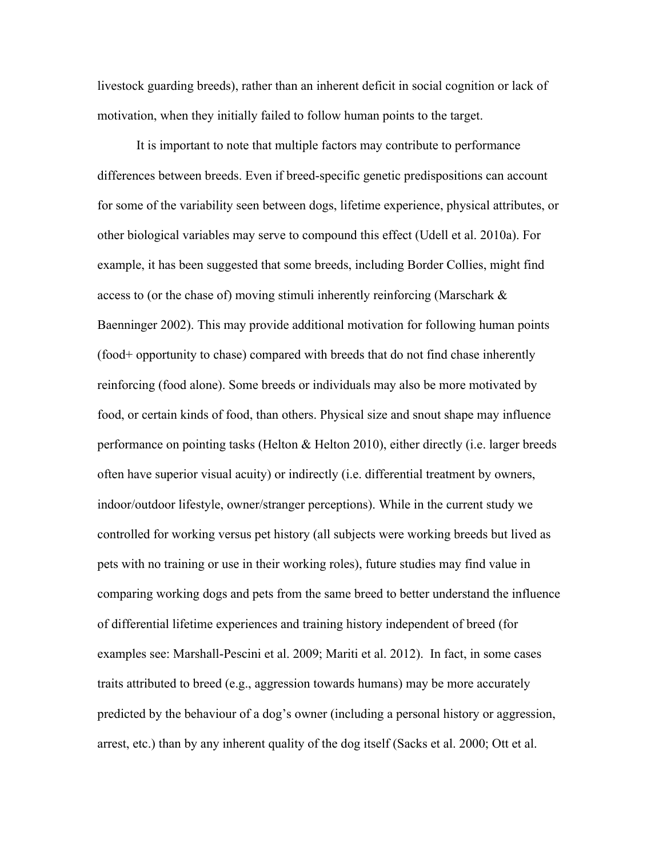livestock guarding breeds), rather than an inherent deficit in social cognition or lack of motivation, when they initially failed to follow human points to the target.

It is important to note that multiple factors may contribute to performance differences between breeds. Even if breed-specific genetic predispositions can account for some of the variability seen between dogs, lifetime experience, physical attributes, or other biological variables may serve to compound this effect (Udell et al. 2010a). For example, it has been suggested that some breeds, including Border Collies, might find access to (or the chase of) moving stimuli inherently reinforcing (Marschark & Baenninger 2002). This may provide additional motivation for following human points (food+ opportunity to chase) compared with breeds that do not find chase inherently reinforcing (food alone). Some breeds or individuals may also be more motivated by food, or certain kinds of food, than others. Physical size and snout shape may influence performance on pointing tasks (Helton & Helton 2010), either directly (i.e. larger breeds often have superior visual acuity) or indirectly (i.e. differential treatment by owners, indoor/outdoor lifestyle, owner/stranger perceptions). While in the current study we controlled for working versus pet history (all subjects were working breeds but lived as pets with no training or use in their working roles), future studies may find value in comparing working dogs and pets from the same breed to better understand the influence of differential lifetime experiences and training history independent of breed (for examples see: Marshall-Pescini et al. 2009; Mariti et al. 2012). In fact, in some cases traits attributed to breed (e.g., aggression towards humans) may be more accurately predicted by the behaviour of a dog's owner (including a personal history or aggression, arrest, etc.) than by any inherent quality of the dog itself (Sacks et al. 2000; Ott et al.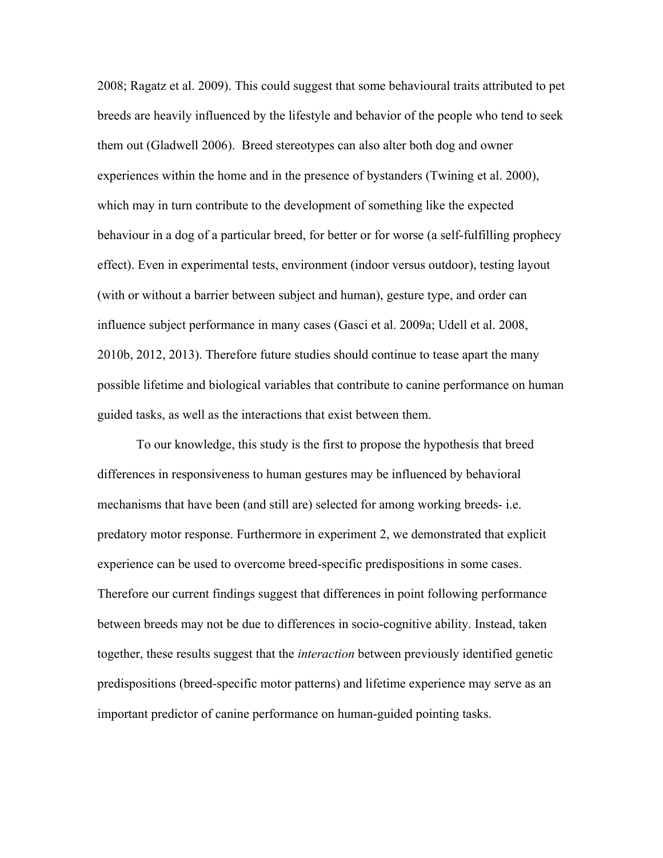2008; Ragatz et al. 2009). This could suggest that some behavioural traits attributed to pet breeds are heavily influenced by the lifestyle and behavior of the people who tend to seek them out (Gladwell 2006). Breed stereotypes can also alter both dog and owner experiences within the home and in the presence of bystanders (Twining et al. 2000), which may in turn contribute to the development of something like the expected behaviour in a dog of a particular breed, for better or for worse (a self-fulfilling prophecy effect). Even in experimental tests, environment (indoor versus outdoor), testing layout (with or without a barrier between subject and human), gesture type, and order can influence subject performance in many cases (Gasci et al. 2009a; Udell et al. 2008, 2010b, 2012, 2013). Therefore future studies should continue to tease apart the many possible lifetime and biological variables that contribute to canine performance on human guided tasks, as well as the interactions that exist between them.

To our knowledge, this study is the first to propose the hypothesis that breed differences in responsiveness to human gestures may be influenced by behavioral mechanisms that have been (and still are) selected for among working breeds- i.e. predatory motor response. Furthermore in experiment 2, we demonstrated that explicit experience can be used to overcome breed-specific predispositions in some cases. Therefore our current findings suggest that differences in point following performance between breeds may not be due to differences in socio-cognitive ability. Instead, taken together, these results suggest that the *interaction* between previously identified genetic predispositions (breed-specific motor patterns) and lifetime experience may serve as an important predictor of canine performance on human-guided pointing tasks.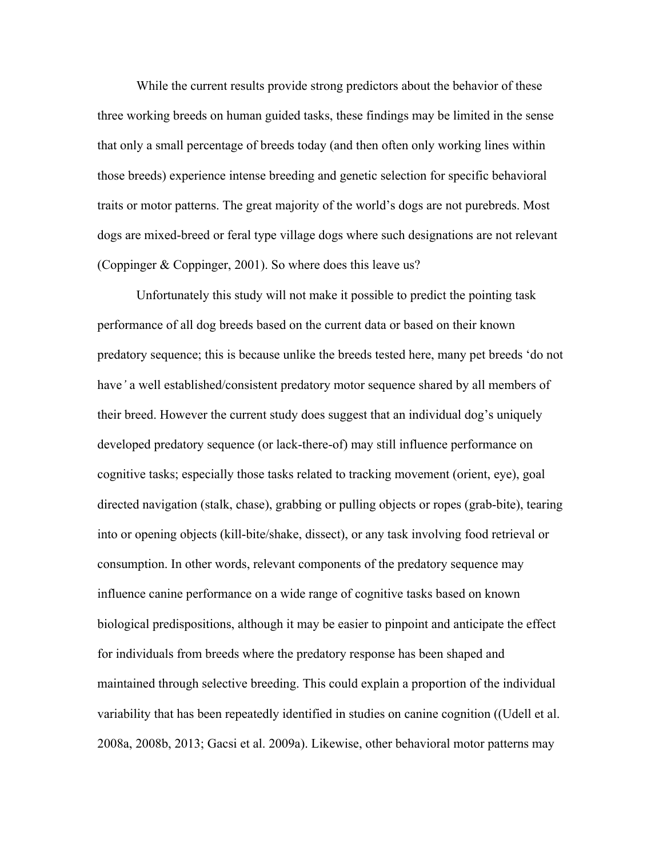While the current results provide strong predictors about the behavior of these three working breeds on human guided tasks, these findings may be limited in the sense that only a small percentage of breeds today (and then often only working lines within those breeds) experience intense breeding and genetic selection for specific behavioral traits or motor patterns. The great majority of the world's dogs are not purebreds. Most dogs are mixed-breed or feral type village dogs where such designations are not relevant (Coppinger & Coppinger, 2001). So where does this leave us?

Unfortunately this study will not make it possible to predict the pointing task performance of all dog breeds based on the current data or based on their known predatory sequence; this is because unlike the breeds tested here, many pet breeds 'do not have*'* a well established/consistent predatory motor sequence shared by all members of their breed. However the current study does suggest that an individual dog's uniquely developed predatory sequence (or lack-there-of) may still influence performance on cognitive tasks; especially those tasks related to tracking movement (orient, eye), goal directed navigation (stalk, chase), grabbing or pulling objects or ropes (grab-bite), tearing into or opening objects (kill-bite/shake, dissect), or any task involving food retrieval or consumption. In other words, relevant components of the predatory sequence may influence canine performance on a wide range of cognitive tasks based on known biological predispositions, although it may be easier to pinpoint and anticipate the effect for individuals from breeds where the predatory response has been shaped and maintained through selective breeding. This could explain a proportion of the individual variability that has been repeatedly identified in studies on canine cognition ((Udell et al. 2008a, 2008b, 2013; Gacsi et al. 2009a). Likewise, other behavioral motor patterns may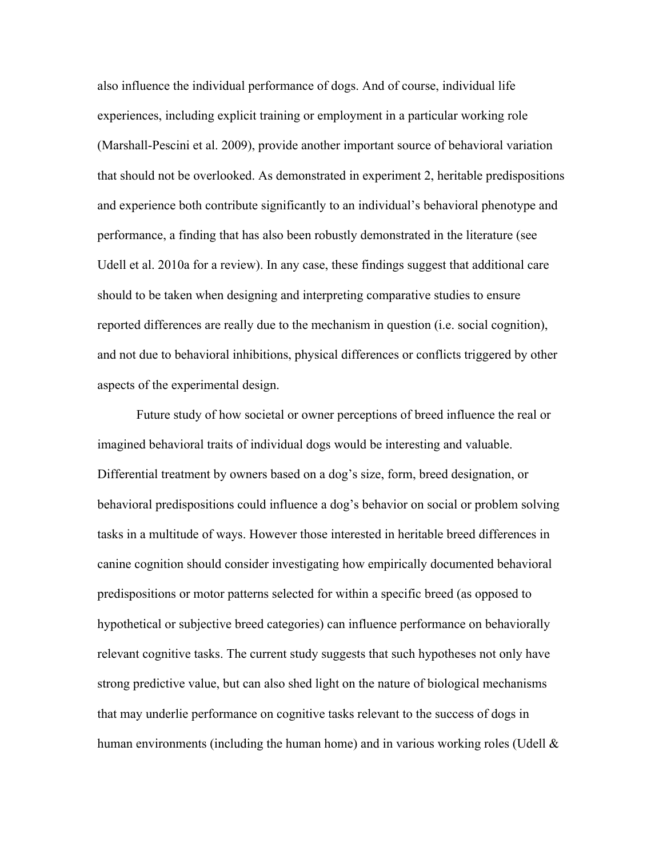also influence the individual performance of dogs. And of course, individual life experiences, including explicit training or employment in a particular working role (Marshall-Pescini et al. 2009), provide another important source of behavioral variation that should not be overlooked. As demonstrated in experiment 2, heritable predispositions and experience both contribute significantly to an individual's behavioral phenotype and performance, a finding that has also been robustly demonstrated in the literature (see Udell et al. 2010a for a review). In any case, these findings suggest that additional care should to be taken when designing and interpreting comparative studies to ensure reported differences are really due to the mechanism in question (i.e. social cognition), and not due to behavioral inhibitions, physical differences or conflicts triggered by other aspects of the experimental design.

Future study of how societal or owner perceptions of breed influence the real or imagined behavioral traits of individual dogs would be interesting and valuable. Differential treatment by owners based on a dog's size, form, breed designation, or behavioral predispositions could influence a dog's behavior on social or problem solving tasks in a multitude of ways. However those interested in heritable breed differences in canine cognition should consider investigating how empirically documented behavioral predispositions or motor patterns selected for within a specific breed (as opposed to hypothetical or subjective breed categories) can influence performance on behaviorally relevant cognitive tasks. The current study suggests that such hypotheses not only have strong predictive value, but can also shed light on the nature of biological mechanisms that may underlie performance on cognitive tasks relevant to the success of dogs in human environments (including the human home) and in various working roles (Udell  $\&$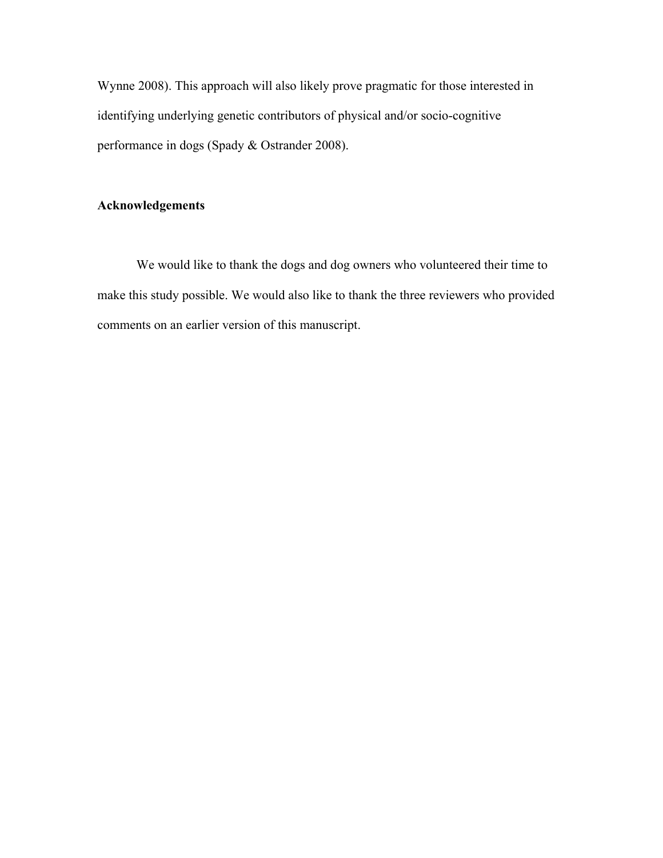Wynne 2008). This approach will also likely prove pragmatic for those interested in identifying underlying genetic contributors of physical and/or socio-cognitive performance in dogs (Spady & Ostrander 2008).

## **Acknowledgements**

We would like to thank the dogs and dog owners who volunteered their time to make this study possible. We would also like to thank the three reviewers who provided comments on an earlier version of this manuscript.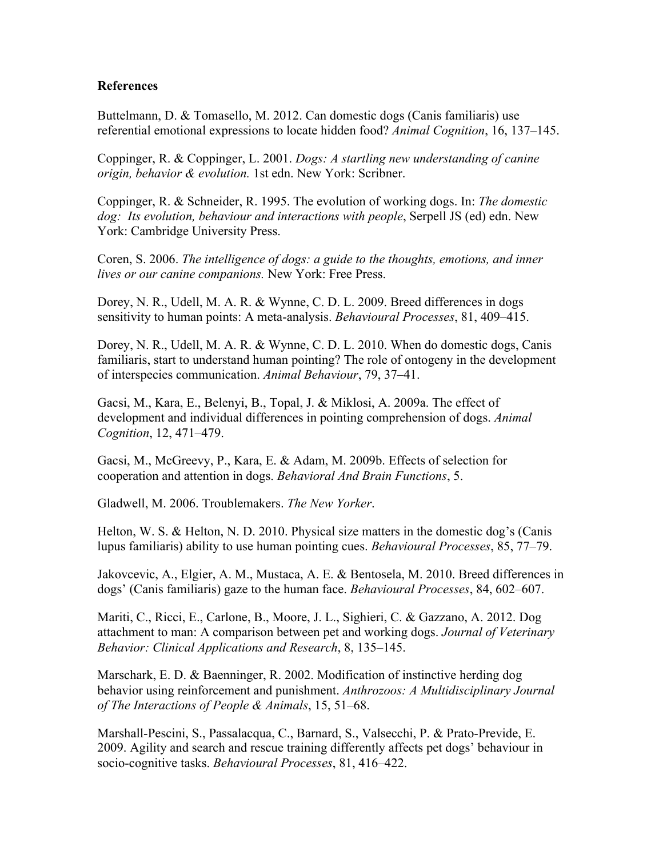## **References**

Buttelmann, D. & Tomasello, M. 2012. Can domestic dogs (Canis familiaris) use referential emotional expressions to locate hidden food? *Animal Cognition*, 16, 137–145.

Coppinger, R. & Coppinger, L. 2001. *Dogs: A startling new understanding of canine origin, behavior & evolution.* 1st edn. New York: Scribner.

Coppinger, R. & Schneider, R. 1995. The evolution of working dogs. In: *The domestic dog: Its evolution, behaviour and interactions with people*, Serpell JS (ed) edn. New York: Cambridge University Press.

Coren, S. 2006. *The intelligence of dogs: a guide to the thoughts, emotions, and inner lives or our canine companions.* New York: Free Press.

Dorey, N. R., Udell, M. A. R. & Wynne, C. D. L. 2009. Breed differences in dogs sensitivity to human points: A meta-analysis. *Behavioural Processes*, 81, 409–415.

Dorey, N. R., Udell, M. A. R. & Wynne, C. D. L. 2010. When do domestic dogs, Canis familiaris, start to understand human pointing? The role of ontogeny in the development of interspecies communication. *Animal Behaviour*, 79, 37–41.

Gacsi, M., Kara, E., Belenyi, B., Topal, J. & Miklosi, A. 2009a. The effect of development and individual differences in pointing comprehension of dogs. *Animal Cognition*, 12, 471–479.

Gacsi, M., McGreevy, P., Kara, E. & Adam, M. 2009b. Effects of selection for cooperation and attention in dogs. *Behavioral And Brain Functions*, 5.

Gladwell, M. 2006. Troublemakers. *The New Yorker*.

Helton, W. S. & Helton, N. D. 2010. Physical size matters in the domestic dog's (Canis lupus familiaris) ability to use human pointing cues. *Behavioural Processes*, 85, 77–79.

Jakovcevic, A., Elgier, A. M., Mustaca, A. E. & Bentosela, M. 2010. Breed differences in dogs' (Canis familiaris) gaze to the human face. *Behavioural Processes*, 84, 602–607.

Mariti, C., Ricci, E., Carlone, B., Moore, J. L., Sighieri, C. & Gazzano, A. 2012. Dog attachment to man: A comparison between pet and working dogs. *Journal of Veterinary Behavior: Clinical Applications and Research*, 8, 135–145.

Marschark, E. D. & Baenninger, R. 2002. Modification of instinctive herding dog behavior using reinforcement and punishment. *Anthrozoos: A Multidisciplinary Journal of The Interactions of People & Animals*, 15, 51–68.

Marshall-Pescini, S., Passalacqua, C., Barnard, S., Valsecchi, P. & Prato-Previde, E. 2009. Agility and search and rescue training differently affects pet dogs' behaviour in socio-cognitive tasks. *Behavioural Processes*, 81, 416–422.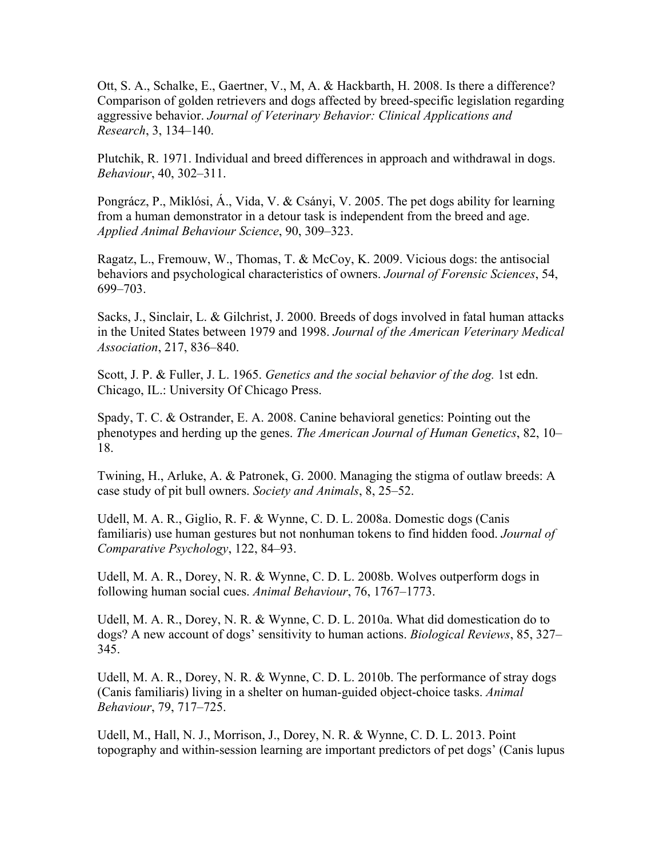Ott, S. A., Schalke, E., Gaertner, V., M, A. & Hackbarth, H. 2008. Is there a difference? Comparison of golden retrievers and dogs affected by breed-specific legislation regarding aggressive behavior. *Journal of Veterinary Behavior: Clinical Applications and Research*, 3, 134–140.

Plutchik, R. 1971. Individual and breed differences in approach and withdrawal in dogs. *Behaviour*, 40, 302–311.

Pongrácz, P., Miklósi, Á., Vida, V. & Csányi, V. 2005. The pet dogs ability for learning from a human demonstrator in a detour task is independent from the breed and age. *Applied Animal Behaviour Science*, 90, 309–323.

Ragatz, L., Fremouw, W., Thomas, T. & McCoy, K. 2009. Vicious dogs: the antisocial behaviors and psychological characteristics of owners. *Journal of Forensic Sciences*, 54, 699–703.

Sacks, J., Sinclair, L. & Gilchrist, J. 2000. Breeds of dogs involved in fatal human attacks in the United States between 1979 and 1998. *Journal of the American Veterinary Medical Association*, 217, 836–840.

Scott, J. P. & Fuller, J. L. 1965. *Genetics and the social behavior of the dog.* 1st edn. Chicago, IL.: University Of Chicago Press.

Spady, T. C. & Ostrander, E. A. 2008. Canine behavioral genetics: Pointing out the phenotypes and herding up the genes. *The American Journal of Human Genetics*, 82, 10– 18.

Twining, H., Arluke, A. & Patronek, G. 2000. Managing the stigma of outlaw breeds: A case study of pit bull owners. *Society and Animals*, 8, 25–52.

Udell, M. A. R., Giglio, R. F. & Wynne, C. D. L. 2008a. Domestic dogs (Canis familiaris) use human gestures but not nonhuman tokens to find hidden food. *Journal of Comparative Psychology*, 122, 84–93.

Udell, M. A. R., Dorey, N. R. & Wynne, C. D. L. 2008b. Wolves outperform dogs in following human social cues. *Animal Behaviour*, 76, 1767–1773.

Udell, M. A. R., Dorey, N. R. & Wynne, C. D. L. 2010a. What did domestication do to dogs? A new account of dogs' sensitivity to human actions. *Biological Reviews*, 85, 327– 345.

Udell, M. A. R., Dorey, N. R. & Wynne, C. D. L. 2010b. The performance of stray dogs (Canis familiaris) living in a shelter on human-guided object-choice tasks. *Animal Behaviour*, 79, 717–725.

Udell, M., Hall, N. J., Morrison, J., Dorey, N. R. & Wynne, C. D. L. 2013. Point topography and within-session learning are important predictors of pet dogs' (Canis lupus